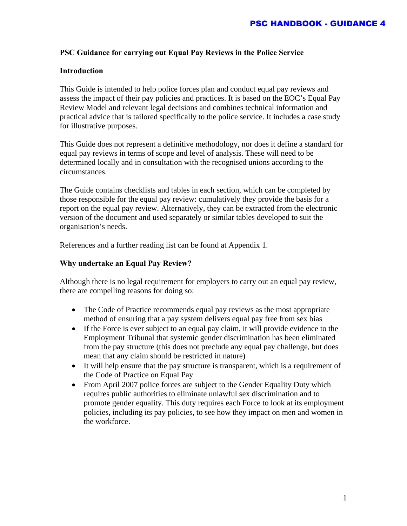## **PSC Guidance for carrying out Equal Pay Reviews in the Police Service**

#### **Introduction**

This Guide is intended to help police forces plan and conduct equal pay reviews and assess the impact of their pay policies and practices. It is based on the EOC's Equal Pay Review Model and relevant legal decisions and combines technical information and practical advice that is tailored specifically to the police service. It includes a case study for illustrative purposes.

This Guide does not represent a definitive methodology, nor does it define a standard for equal pay reviews in terms of scope and level of analysis. These will need to be determined locally and in consultation with the recognised unions according to the circumstances.

The Guide contains checklists and tables in each section, which can be completed by those responsible for the equal pay review: cumulatively they provide the basis for a report on the equal pay review. Alternatively, they can be extracted from the electronic version of the document and used separately or similar tables developed to suit the organisation's needs.

References and a further reading list can be found at Appendix 1.

#### **Why undertake an Equal Pay Review?**

Although there is no legal requirement for employers to carry out an equal pay review, there are compelling reasons for doing so:

- The Code of Practice recommends equal pay reviews as the most appropriate method of ensuring that a pay system delivers equal pay free from sex bias
- If the Force is ever subject to an equal pay claim, it will provide evidence to the Employment Tribunal that systemic gender discrimination has been eliminated from the pay structure (this does not preclude any equal pay challenge, but does mean that any claim should be restricted in nature)
- It will help ensure that the pay structure is transparent, which is a requirement of the Code of Practice on Equal Pay
- From April 2007 police forces are subject to the Gender Equality Duty which requires public authorities to eliminate unlawful sex discrimination and to promote gender equality. This duty requires each Force to look at its employment policies, including its pay policies, to see how they impact on men and women in the workforce.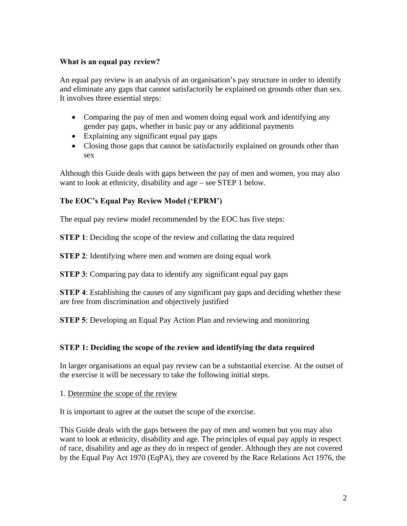# **What is an equal pay review?**

An equal pay review is an analysis of an organisation's pay structure in order to identify and eliminate any gaps that cannot satisfactorily be explained on grounds other than sex. It involves three essential steps:

- Comparing the pay of men and women doing equal work and identifying any gender pay gaps, whether in basic pay or any additional payments
- Explaining any significant equal pay gaps
- Closing those gaps that cannot be satisfactorily explained on grounds other than sex

Although this Guide deals with gaps between the pay of men and women, you may also want to look at ethnicity, disability and age – see STEP 1 below.

# **The EOC's Equal Pay Review Model ('EPRM')**

The equal pay review model recommended by the EOC has five steps:

**STEP 1**: Deciding the scope of the review and collating the data required

**STEP 2:** Identifying where men and women are doing equal work

**STEP 3**: Comparing pay data to identify any significant equal pay gaps

**STEP 4**: Establishing the causes of any significant pay gaps and deciding whether these are free from discrimination and objectively justified

**STEP 5:** Developing an Equal Pay Action Plan and reviewing and monitoring

# **STEP 1: Deciding the scope of the review and identifying the data required**

In larger organisations an equal pay review can be a substantial exercise. At the outset of the exercise it will be necessary to take the following initial steps.

1. Determine the scope of the review

It is important to agree at the outset the scope of the exercise.

This Guide deals with the gaps between the pay of men and women but you may also want to look at ethnicity, disability and age. The principles of equal pay apply in respect of race, disability and age as they do in respect of gender. Although they are not covered by the Equal Pay Act 1970 (EqPA), they are covered by the Race Relations Act 1976, the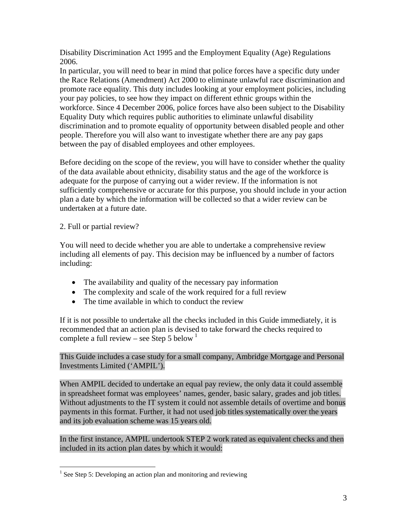Disability Discrimination Act 1995 and the Employment Equality (Age) Regulations 2006.

In particular, you will need to bear in mind that police forces have a specific duty under the Race Relations (Amendment) Act 2000 to eliminate unlawful race discrimination and promote race equality. This duty includes looking at your employment policies, including your pay policies, to see how they impact on different ethnic groups within the workforce. Since 4 December 2006, police forces have also been subject to the Disability Equality Duty which requires public authorities to eliminate unlawful disability discrimination and to promote equality of opportunity between disabled people and other people. Therefore you will also want to investigate whether there are any pay gaps between the pay of disabled employees and other employees.

Before deciding on the scope of the review, you will have to consider whether the quality of the data available about ethnicity, disability status and the age of the workforce is adequate for the purpose of carrying out a wider review. If the information is not sufficiently comprehensive or accurate for this purpose, you should include in your action plan a date by which the information will be collected so that a wider review can be undertaken at a future date.

# 2. Full or partial review?

 $\overline{a}$ 

You will need to decide whether you are able to undertake a comprehensive review including all elements of pay. This decision may be influenced by a number of factors including:

- The availability and quality of the necessary pay information
- The complexity and scale of the work required for a full review
- The time available in which to conduct the review

If it is not possible to undertake all the checks included in this Guide immediately, it is recommended that an action plan is devised to take forward the checks required to complete a full review – see Step 5 below  $1$ 

### This Guide includes a case study for a small company, Ambridge Mortgage and Personal Investments Limited ('AMPIL').

When AMPIL decided to undertake an equal pay review, the only data it could assemble in spreadsheet format was employees' names, gender, basic salary, grades and job titles. Without adjustments to the IT system it could not assemble details of overtime and bonus payments in this format. Further, it had not used job titles systematically over the years and its job evaluation scheme was 15 years old.

In the first instance, AMPIL undertook STEP 2 work rated as equivalent checks and then included in its action plan dates by which it would:

<span id="page-2-0"></span><sup>&</sup>lt;sup>1</sup> See Step 5: Developing an action plan and monitoring and reviewing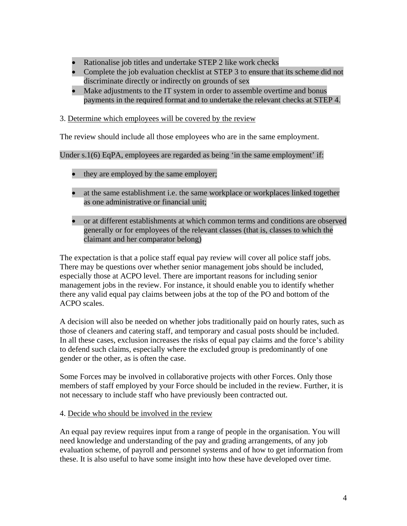- Rationalise job titles and undertake STEP 2 like work checks
- Complete the job evaluation checklist at STEP 3 to ensure that its scheme did not discriminate directly or indirectly on grounds of sex
- Make adjustments to the IT system in order to assemble overtime and bonus payments in the required format and to undertake the relevant checks at STEP 4.
- 3. Determine which employees will be covered by the review

The review should include all those employees who are in the same employment.

Under s.1(6) EqPA, employees are regarded as being 'in the same employment' if:

- they are employed by the same employer;
- at the same establishment i.e. the same workplace or workplaces linked together as one administrative or financial unit;
- or at different establishments at which common terms and conditions are observed generally or for employees of the relevant classes (that is, classes to which the claimant and her comparator belong)

The expectation is that a police staff equal pay review will cover all police staff jobs. There may be questions over whether senior management jobs should be included, especially those at ACPO level. There are important reasons for including senior management jobs in the review. For instance, it should enable you to identify whether there any valid equal pay claims between jobs at the top of the PO and bottom of the ACPO scales.

A decision will also be needed on whether jobs traditionally paid on hourly rates, such as those of cleaners and catering staff, and temporary and casual posts should be included. In all these cases, exclusion increases the risks of equal pay claims and the force's ability to defend such claims, especially where the excluded group is predominantly of one gender or the other, as is often the case.

Some Forces may be involved in collaborative projects with other Forces. Only those members of staff employed by your Force should be included in the review. Further, it is not necessary to include staff who have previously been contracted out.

4. Decide who should be involved in the review

An equal pay review requires input from a range of people in the organisation. You will need knowledge and understanding of the pay and grading arrangements, of any job evaluation scheme, of payroll and personnel systems and of how to get information from these. It is also useful to have some insight into how these have developed over time.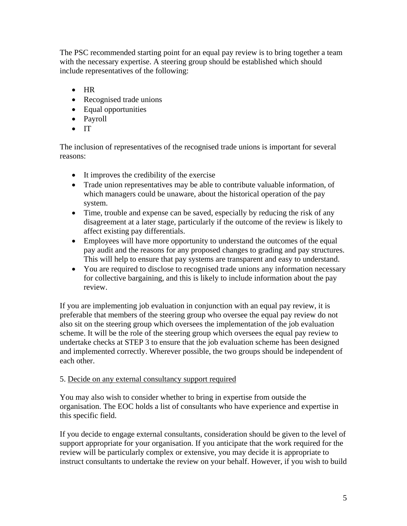The PSC recommended starting point for an equal pay review is to bring together a team with the necessary expertise. A steering group should be established which should include representatives of the following:

- HR
- Recognised trade unions
- Equal opportunities
- Payroll
- IT

The inclusion of representatives of the recognised trade unions is important for several reasons:

- It improves the credibility of the exercise
- Trade union representatives may be able to contribute valuable information, of which managers could be unaware, about the historical operation of the pay system.
- Time, trouble and expense can be saved, especially by reducing the risk of any disagreement at a later stage, particularly if the outcome of the review is likely to affect existing pay differentials.
- Employees will have more opportunity to understand the outcomes of the equal pay audit and the reasons for any proposed changes to grading and pay structures. This will help to ensure that pay systems are transparent and easy to understand.
- You are required to disclose to recognised trade unions any information necessary for collective bargaining, and this is likely to include information about the pay review.

If you are implementing job evaluation in conjunction with an equal pay review, it is preferable that members of the steering group who oversee the equal pay review do not also sit on the steering group which oversees the implementation of the job evaluation scheme. It will be the role of the steering group which oversees the equal pay review to undertake checks at STEP 3 to ensure that the job evaluation scheme has been designed and implemented correctly. Wherever possible, the two groups should be independent of each other.

# 5. Decide on any external consultancy support required

You may also wish to consider whether to bring in expertise from outside the organisation. The EOC holds a list of consultants who have experience and expertise in this specific field.

If you decide to engage external consultants, consideration should be given to the level of support appropriate for your organisation. If you anticipate that the work required for the review will be particularly complex or extensive, you may decide it is appropriate to instruct consultants to undertake the review on your behalf. However, if you wish to build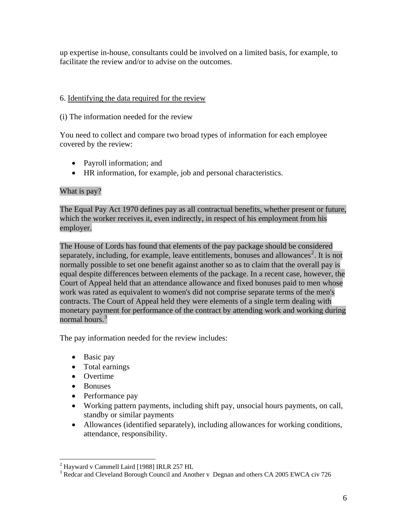up expertise in-house, consultants could be involved on a limited basis, for example, to facilitate the review and/or to advise on the outcomes.

# 6. Identifying the data required for the review

## (i) The information needed for the review

You need to collect and compare two broad types of information for each employee covered by the review:

- Payroll information; and
- HR information, for example, job and personal characteristics.

# What is pay?

The Equal Pay Act 1970 defines pay as all contractual benefits, whether present or future, which the worker receives it, even indirectly, in respect of his employment from his employer.

The House of Lords has found that elements of the pay package should be considered separately, including, for example, leave entitlements, bonuses and allowances<sup>[2](#page-5-0)</sup>. It is not normally possible to set one benefit against another so as to claim that the overall pay is equal despite differences between elements of the package. In a recent case, however, the Court of Appeal held that an attendance allowance and fixed bonuses paid to men whose work was rated as equivalent to women's did not comprise separate terms of the men's contracts. The Court of Appeal held they were elements of a single term dealing with monetary payment for performance of the contract by attending work and working during normal hours.<sup>[3](#page-5-1)</sup>

The pay information needed for the review includes:

- Basic pay
- Total earnings
- Overtime
- Bonuses

1

- Performance pay
- Working pattern payments, including shift pay, unsocial hours payments, on call, standby or similar payments
- Allowances (identified separately), including allowances for working conditions, attendance, responsibility.

<span id="page-5-1"></span><span id="page-5-0"></span><sup>&</sup>lt;sup>2</sup> Hayward v Cammell Laird [1988] IRLR 257 HL

<sup>&</sup>lt;sup>3</sup> Redcar and Cleveland Borough Council and Another v Degnan and others CA 2005 EWCA civ 726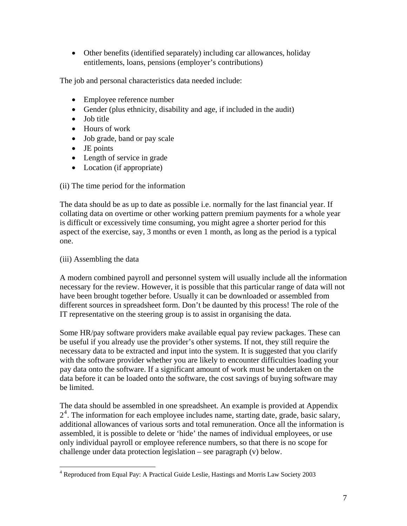• Other benefits (identified separately) including car allowances, holiday entitlements, loans, pensions (employer's contributions)

The job and personal characteristics data needed include:

- Employee reference number
- Gender (plus ethnicity, disability and age, if included in the audit)
- Job title
- Hours of work
- Job grade, band or pay scale
- JE points
- Length of service in grade
- Location (if appropriate)

# (ii) The time period for the information

The data should be as up to date as possible i.e. normally for the last financial year. If collating data on overtime or other working pattern premium payments for a whole year is difficult or excessively time consuming, you might agree a shorter period for this aspect of the exercise, say, 3 months or even 1 month, as long as the period is a typical one.

# (iii) Assembling the data

 $\overline{a}$ 

A modern combined payroll and personnel system will usually include all the information necessary for the review. However, it is possible that this particular range of data will not have been brought together before. Usually it can be downloaded or assembled from different sources in spreadsheet form. Don't be daunted by this process! The role of the IT representative on the steering group is to assist in organising the data.

Some HR/pay software providers make available equal pay review packages. These can be useful if you already use the provider's other systems. If not, they still require the necessary data to be extracted and input into the system. It is suggested that you clarify with the software provider whether you are likely to encounter difficulties loading your pay data onto the software. If a significant amount of work must be undertaken on the data before it can be loaded onto the software, the cost savings of buying software may be limited.

The data should be assembled in one spreadsheet. An example is provided at Appendix 2<sup>[4](#page-6-0)</sup>. The information for each employee includes name, starting date, grade, basic salary, additional allowances of various sorts and total remuneration. Once all the information is assembled, it is possible to delete or 'hide' the names of individual employees, or use only individual payroll or employee reference numbers, so that there is no scope for challenge under data protection legislation – see paragraph (v) below.

<span id="page-6-0"></span><sup>&</sup>lt;sup>4</sup> Reproduced from Equal Pay: A Practical Guide Leslie, Hastings and Morris Law Society 2003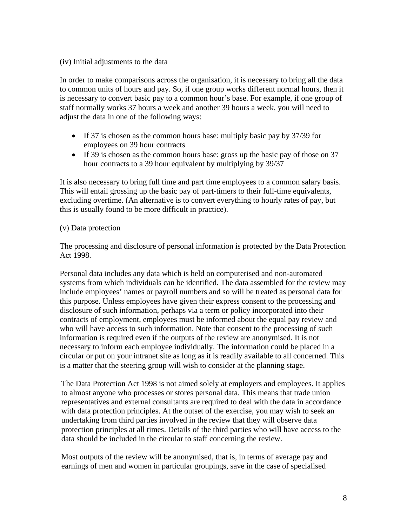#### (iv) Initial adjustments to the data

In order to make comparisons across the organisation, it is necessary to bring all the data to common units of hours and pay. So, if one group works different normal hours, then it is necessary to convert basic pay to a common hour's base. For example, if one group of staff normally works 37 hours a week and another 39 hours a week, you will need to adjust the data in one of the following ways:

- If 37 is chosen as the common hours base: multiply basic pay by 37/39 for employees on 39 hour contracts
- If 39 is chosen as the common hours base: gross up the basic pay of those on 37 hour contracts to a 39 hour equivalent by multiplying by 39/37

It is also necessary to bring full time and part time employees to a common salary basis. This will entail grossing up the basic pay of part-timers to their full-time equivalents, excluding overtime. (An alternative is to convert everything to hourly rates of pay, but this is usually found to be more difficult in practice).

### (v) Data protection

The processing and disclosure of personal information is protected by the Data Protection Act 1998.

Personal data includes any data which is held on computerised and non-automated systems from which individuals can be identified. The data assembled for the review may include employees' names or payroll numbers and so will be treated as personal data for this purpose. Unless employees have given their express consent to the processing and disclosure of such information, perhaps via a term or policy incorporated into their contracts of employment, employees must be informed about the equal pay review and who will have access to such information. Note that consent to the processing of such information is required even if the outputs of the review are anonymised. It is not necessary to inform each employee individually. The information could be placed in a circular or put on your intranet site as long as it is readily available to all concerned. This is a matter that the steering group will wish to consider at the planning stage.

The Data Protection Act 1998 is not aimed solely at employers and employees. It applies to almost anyone who processes or stores personal data. This means that trade union representatives and external consultants are required to deal with the data in accordance with data protection principles. At the outset of the exercise, you may wish to seek an undertaking from third parties involved in the review that they will observe data protection principles at all times. Details of the third parties who will have access to the data should be included in the circular to staff concerning the review.

Most outputs of the review will be anonymised, that is, in terms of average pay and earnings of men and women in particular groupings, save in the case of specialised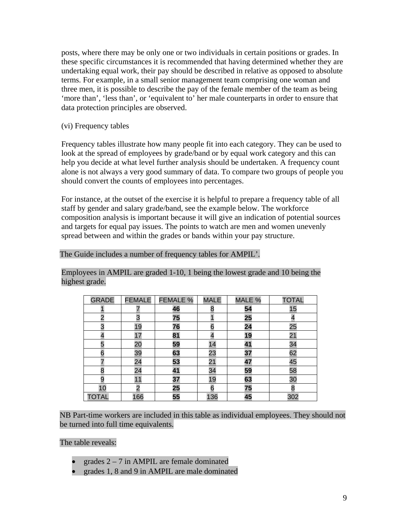posts, where there may be only one or two individuals in certain positions or grades. In these specific circumstances it is recommended that having determined whether they are undertaking equal work, their pay should be described in relative as opposed to absolute terms. For example, in a small senior management team comprising one woman and three men, it is possible to describe the pay of the female member of the team as being 'more than', 'less than', or 'equivalent to' her male counterparts in order to ensure that data protection principles are observed.

(vi) Frequency tables

Frequency tables illustrate how many people fit into each category. They can be used to look at the spread of employees by grade/band or by equal work category and this can help you decide at what level further analysis should be undertaken. A frequency count alone is not always a very good summary of data. To compare two groups of people you should convert the counts of employees into percentages.

For instance, at the outset of the exercise it is helpful to prepare a frequency table of all staff by gender and salary grade/band, see the example below. The workforce composition analysis is important because it will give an indication of potential sources and targets for equal pay issues. The points to watch are men and women unevenly spread between and within the grades or bands within your pay structure.

#### The Guide includes a number of frequency tables for AMPIL'.

Employees in AMPIL are graded 1-10, 1 being the lowest grade and 10 being the highest grade.

| <b>GRADE</b>   | <b>FEMALE</b> | <b>FEMALE %</b> | <b>MALE</b> | MALE % | <b>TOTAL</b> |
|----------------|---------------|-----------------|-------------|--------|--------------|
|                |               | 46              | 8           | 54     | 15           |
| $\overline{2}$ | 3             | 75              |             | 25     |              |
| 3              | 19            | 76              | 6           | 24     | 25           |
|                | 17            | 81              |             | 19     | 21           |
| 5              | 20            | 59              | 14          | 41     | 34           |
| 6              | 39            | 63              | 23          | 37     | 62           |
|                | 24            | 53              | 21          | 47     | 45           |
| 8              | 24            | 41              | 34          | 59     | 58           |
| 9              | 11            | 37              | 19          | 63     | 30           |
| 10             | ာ             | 25              | 6           | 75     | 8            |
| <b>TOTAL</b>   | 166           | 55              | 136         | 45     | 302          |

NB Part-time workers are included in this table as individual employees. They should not be turned into full time equivalents.

The table reveals:

- grades  $2 7$  in AMPIL are female dominated
- grades 1, 8 and 9 in AMPIL are male dominated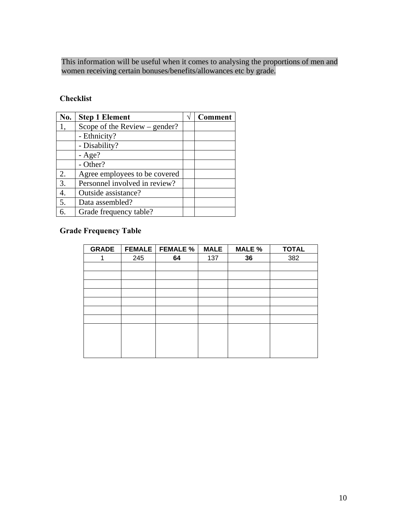This information will be useful when it comes to analysing the proportions of men and women receiving certain bonuses/benefits/allowances etc by grade.

# **Checklist**

| No. | <b>Step 1 Element</b>           | <b>Comment</b> |
|-----|---------------------------------|----------------|
|     | Scope of the Review $-$ gender? |                |
|     | - Ethnicity?                    |                |
|     | - Disability?                   |                |
|     | $-Age?$                         |                |
|     | - Other?                        |                |
| 2.  | Agree employees to be covered   |                |
| 3.  | Personnel involved in review?   |                |
| 4.  | Outside assistance?             |                |
| 5.  | Data assembled?                 |                |
| 6.  | Grade frequency table?          |                |

# **Grade Frequency Table**

| <b>GRADE</b> |     | <b>FEMALE</b>   FEMALE % | <b>MALE</b> | MALE % | <b>TOTAL</b> |
|--------------|-----|--------------------------|-------------|--------|--------------|
|              | 245 | 64                       | 137         | 36     | 382          |
|              |     |                          |             |        |              |
|              |     |                          |             |        |              |
|              |     |                          |             |        |              |
|              |     |                          |             |        |              |
|              |     |                          |             |        |              |
|              |     |                          |             |        |              |
|              |     |                          |             |        |              |
|              |     |                          |             |        |              |
|              |     |                          |             |        |              |
|              |     |                          |             |        |              |
|              |     |                          |             |        |              |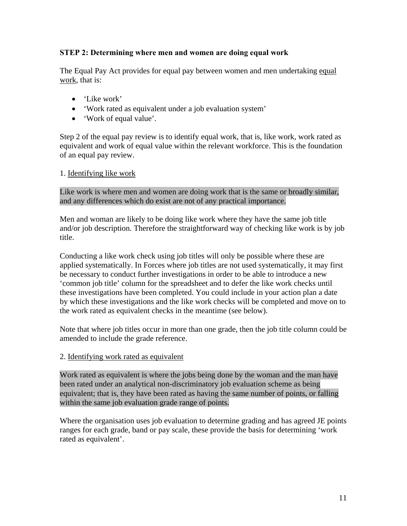# **STEP 2: Determining where men and women are doing equal work**

The Equal Pay Act provides for equal pay between women and men undertaking equal work, that is:

- 'Like work'
- 'Work rated as equivalent under a job evaluation system'
- 'Work of equal value'.

Step 2 of the equal pay review is to identify equal work, that is, like work, work rated as equivalent and work of equal value within the relevant workforce. This is the foundation of an equal pay review.

### 1. Identifying like work

Like work is where men and women are doing work that is the same or broadly similar, and any differences which do exist are not of any practical importance.

Men and woman are likely to be doing like work where they have the same job title and/or job description. Therefore the straightforward way of checking like work is by job title.

Conducting a like work check using job titles will only be possible where these are applied systematically. In Forces where job titles are not used systematically, it may first be necessary to conduct further investigations in order to be able to introduce a new 'common job title' column for the spreadsheet and to defer the like work checks until these investigations have been completed. You could include in your action plan a date by which these investigations and the like work checks will be completed and move on to the work rated as equivalent checks in the meantime (see below).

Note that where job titles occur in more than one grade, then the job title column could be amended to include the grade reference.

#### 2. Identifying work rated as equivalent

Work rated as equivalent is where the jobs being done by the woman and the man have been rated under an analytical non-discriminatory job evaluation scheme as being equivalent; that is, they have been rated as having the same number of points, or falling within the same job evaluation grade range of points.

Where the organisation uses job evaluation to determine grading and has agreed JE points ranges for each grade, band or pay scale, these provide the basis for determining 'work rated as equivalent'.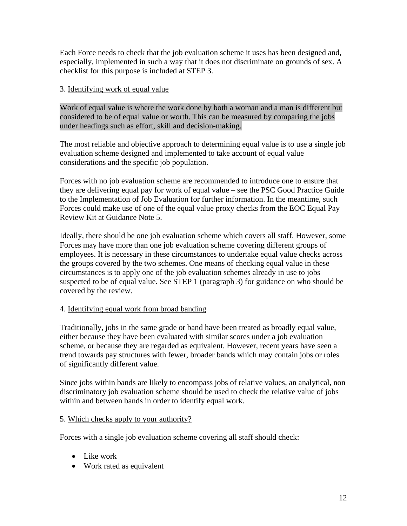Each Force needs to check that the job evaluation scheme it uses has been designed and, especially, implemented in such a way that it does not discriminate on grounds of sex. A checklist for this purpose is included at STEP 3.

## 3. Identifying work of equal value

Work of equal value is where the work done by both a woman and a man is different but considered to be of equal value or worth. This can be measured by comparing the jobs under headings such as effort, skill and decision-making.

The most reliable and objective approach to determining equal value is to use a single job evaluation scheme designed and implemented to take account of equal value considerations and the specific job population.

Forces with no job evaluation scheme are recommended to introduce one to ensure that they are delivering equal pay for work of equal value – see the PSC Good Practice Guide to the Implementation of Job Evaluation for further information. In the meantime, such Forces could make use of one of the equal value proxy checks from the EOC Equal Pay Review Kit at Guidance Note 5.

Ideally, there should be one job evaluation scheme which covers all staff. However, some Forces may have more than one job evaluation scheme covering different groups of employees. It is necessary in these circumstances to undertake equal value checks across the groups covered by the two schemes. One means of checking equal value in these circumstances is to apply one of the job evaluation schemes already in use to jobs suspected to be of equal value. See STEP 1 (paragraph 3) for guidance on who should be covered by the review.

# 4. Identifying equal work from broad banding

Traditionally, jobs in the same grade or band have been treated as broadly equal value, either because they have been evaluated with similar scores under a job evaluation scheme, or because they are regarded as equivalent. However, recent years have seen a trend towards pay structures with fewer, broader bands which may contain jobs or roles of significantly different value.

Since jobs within bands are likely to encompass jobs of relative values, an analytical, non discriminatory job evaluation scheme should be used to check the relative value of jobs within and between bands in order to identify equal work.

#### 5. Which checks apply to your authority?

Forces with a single job evaluation scheme covering all staff should check:

- Like work
- Work rated as equivalent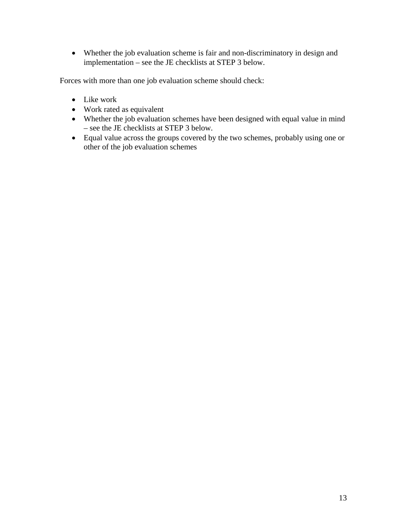• Whether the job evaluation scheme is fair and non-discriminatory in design and implementation – see the JE checklists at STEP 3 below.

Forces with more than one job evaluation scheme should check:

- Like work
- Work rated as equivalent
- Whether the job evaluation schemes have been designed with equal value in mind – see the JE checklists at STEP 3 below.
- Equal value across the groups covered by the two schemes, probably using one or other of the job evaluation schemes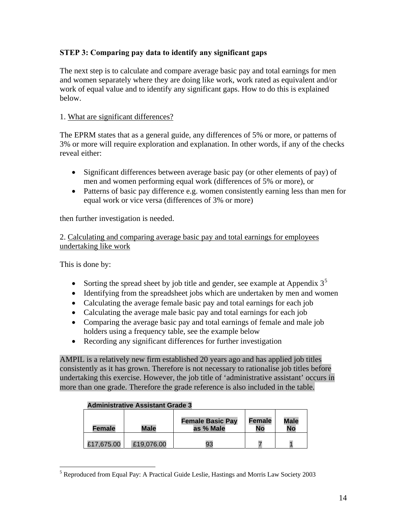# **STEP 3: Comparing pay data to identify any significant gaps**

The next step is to calculate and compare average basic pay and total earnings for men and women separately where they are doing like work, work rated as equivalent and/or work of equal value and to identify any significant gaps. How to do this is explained below.

## 1. What are significant differences?

The EPRM states that as a general guide, any differences of 5% or more, or patterns of 3% or more will require exploration and explanation. In other words, if any of the checks reveal either:

- Significant differences between average basic pay (or other elements of pay) of men and women performing equal work (differences of 5% or more), or
- Patterns of basic pay difference e.g. women consistently earning less than men for equal work or vice versa (differences of 3% or more)

then further investigation is needed.

2. Calculating and comparing average basic pay and total earnings for employees undertaking like work

This is done by:

 $\overline{a}$ 

- Sorting the spread sheet by job title and gender, see example at Appendix  $3^5$  $3^5$
- Identifying from the spreadsheet jobs which are undertaken by men and women
- Calculating the average female basic pay and total earnings for each job
- Calculating the average male basic pay and total earnings for each job
- Comparing the average basic pay and total earnings of female and male job holders using a frequency table, see the example below
- Recording any significant differences for further investigation

AMPIL is a relatively new firm established 20 years ago and has applied job titles consistently as it has grown. Therefore is not necessary to rationalise job titles before undertaking this exercise. However, the job title of 'administrative assistant' occurs in more than one grade. Therefore the grade reference is also included in the table.

#### **Administrative Assistant Grade 3**

| Female     | <b>Male</b> | <b>Female Basic Pay</b><br>as % Male | Female<br>No | <b>Male</b><br>No |
|------------|-------------|--------------------------------------|--------------|-------------------|
| £17.675.00 | £19,076.00  | 93                                   |              |                   |

<span id="page-13-0"></span> $<sup>5</sup>$  Reproduced from Equal Pay: A Practical Guide Leslie, Hastings and Morris Law Society 2003</sup>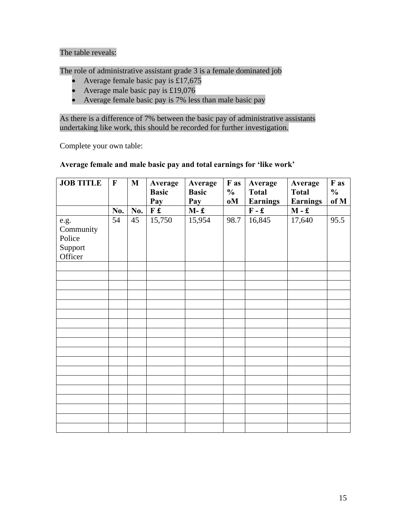# The table reveals:

The role of administrative assistant grade 3 is a female dominated job

- Average female basic pay is £17,675<br>• Average male basic pay is £19,076
- Average male basic pay is £19,076
- Average female basic pay is 7% less than male basic pay

As there is a difference of 7% between the basic pay of administrative assistants undertaking like work, this should be recorded for further investigation.

Complete your own table:

# **Average female and male basic pay and total earnings for 'like work'**

| <b>JOB TITLE</b>                                  | $\mathbf{F}$ | M   | Average<br><b>Basic</b><br>Pay | Average<br><b>Basic</b><br>Pay | F as<br>$\frac{0}{0}$<br>oM | Average<br><b>Total</b><br><b>Earnings</b> | Average<br><b>Total</b><br><b>Earnings</b> | F as<br>$\frac{0}{0}$<br>of M |
|---------------------------------------------------|--------------|-----|--------------------------------|--------------------------------|-----------------------------|--------------------------------------------|--------------------------------------------|-------------------------------|
|                                                   | No.          | No. | F£                             | $M - £$                        |                             | $\mathbf F$ - $\mathbf f$                  | $\mathbf{M}$ - $\mathbf{f}$                |                               |
| e.g.<br>Community<br>Police<br>Support<br>Officer | 54           | 45  | 15,750                         | 15,954                         | 98.7                        | 16,845                                     | 17,640                                     | 95.5                          |
|                                                   |              |     |                                |                                |                             |                                            |                                            |                               |
|                                                   |              |     |                                |                                |                             |                                            |                                            |                               |
|                                                   |              |     |                                |                                |                             |                                            |                                            |                               |
|                                                   |              |     |                                |                                |                             |                                            |                                            |                               |
|                                                   |              |     |                                |                                |                             |                                            |                                            |                               |
|                                                   |              |     |                                |                                |                             |                                            |                                            |                               |
|                                                   |              |     |                                |                                |                             |                                            |                                            |                               |
|                                                   |              |     |                                |                                |                             |                                            |                                            |                               |
|                                                   |              |     |                                |                                |                             |                                            |                                            |                               |
|                                                   |              |     |                                |                                |                             |                                            |                                            |                               |
|                                                   |              |     |                                |                                |                             |                                            |                                            |                               |
|                                                   |              |     |                                |                                |                             |                                            |                                            |                               |
|                                                   |              |     |                                |                                |                             |                                            |                                            |                               |
|                                                   |              |     |                                |                                |                             |                                            |                                            |                               |
|                                                   |              |     |                                |                                |                             |                                            |                                            |                               |
|                                                   |              |     |                                |                                |                             |                                            |                                            |                               |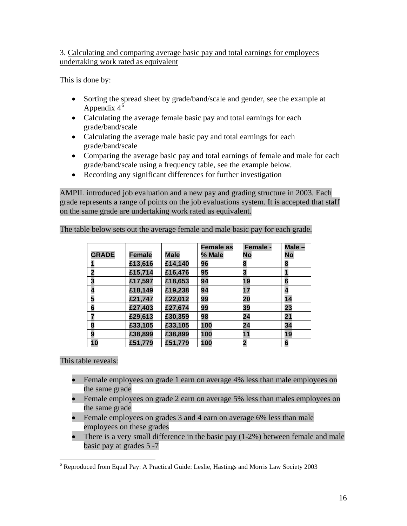3. Calculating and comparing average basic pay and total earnings for employees undertaking work rated as equivalent

This is done by:

- Sorting the spread sheet by grade/band/scale and gender, see the example at Appendix  $4^6$  $4^6$
- Calculating the average female basic pay and total earnings for each grade/band/scale
- Calculating the average male basic pay and total earnings for each grade/band/scale
- Comparing the average basic pay and total earnings of female and male for each grade/band/scale using a frequency table, see the example below.
- Recording any significant differences for further investigation

AMPIL introduced job evaluation and a new pay and grading structure in 2003. Each grade represents a range of points on the job evaluations system. It is accepted that staff on the same grade are undertaking work rated as equivalent.

|              |               |             | <b>Female as</b> | <b>Female -</b> | Male -                  |
|--------------|---------------|-------------|------------------|-----------------|-------------------------|
| <b>GRADE</b> | <b>Female</b> | <b>Male</b> | % Male           | No              | <b>No</b>               |
|              | £13,616       | £14,140     | 96               | 8               | 8                       |
|              | £15,714       | £16,476     | 95               | 3               |                         |
|              | £17,597       | £18,653     | 94               | 19              | 6                       |
|              | £18,149       | £19,238     | 94               | 17              | $\overline{\mathbf{A}}$ |
| 5            | £21,747       | £22,012     | 99               | 20              | 14                      |
| 6            | £27,403       | £27,674     | 99               | 39              | 23                      |
|              | £29,613       | £30,359     | 98               | 24              | 21                      |
| 8            | £33,105       | £33,105     | 100              | 24              | 34                      |
| 9            | £38,899       | £38,899     | 100              | 11              | 19                      |
| 10           | £51,779       | £51,779     | 100              |                 | 6                       |

The table below sets out the average female and male basic pay for each grade.

This table reveals:

- Female employees on grade 1 earn on average 4% less than male employees on the same grade
- Female employees on grade 2 earn on average 5% less than males employees on the same grade
- Female employees on grades 3 and 4 earn on average 6% less than male employees on these grades
- There is a very small difference in the basic pay (1-2%) between female and male basic pay at grades 5 -7

<span id="page-15-0"></span> 6 Reproduced from Equal Pay: A Practical Guide: Leslie, Hastings and Morris Law Society 2003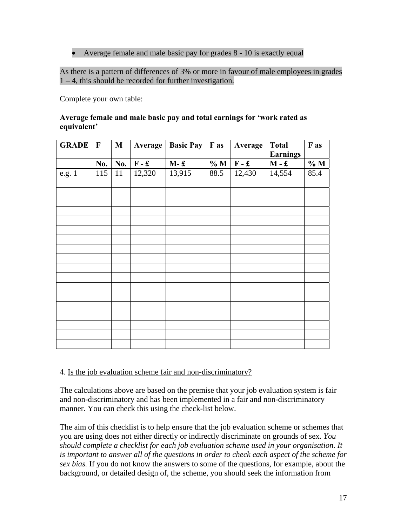# • Average female and male basic pay for grades 8 - 10 is exactly equal

As there is a pattern of differences of 3% or more in favour of male employees in grades 1 – 4, this should be recorded for further investigation.

Complete your own table:

#### **Average female and male basic pay and total earnings for 'work rated as equivalent'**

| <b>GRADE</b> | $\mathbf{F}$ | $\mathbf{M}$ | Average | <b>Basic Pay</b> $\vert$ <b>F</b> as |      | Average | <b>Total</b><br><b>Earnings</b> | F as |
|--------------|--------------|--------------|---------|--------------------------------------|------|---------|---------------------------------|------|
|              | No.          | No.          | $F - E$ | $M - E$                              | %M   | $F - E$ | $M - £$                         | % M  |
| e.g. 1       | 115          | 11           | 12,320  | 13,915                               | 88.5 | 12,430  | 14,554                          | 85.4 |
|              |              |              |         |                                      |      |         |                                 |      |
|              |              |              |         |                                      |      |         |                                 |      |
|              |              |              |         |                                      |      |         |                                 |      |
|              |              |              |         |                                      |      |         |                                 |      |
|              |              |              |         |                                      |      |         |                                 |      |
|              |              |              |         |                                      |      |         |                                 |      |
|              |              |              |         |                                      |      |         |                                 |      |
|              |              |              |         |                                      |      |         |                                 |      |
|              |              |              |         |                                      |      |         |                                 |      |
|              |              |              |         |                                      |      |         |                                 |      |
|              |              |              |         |                                      |      |         |                                 |      |
|              |              |              |         |                                      |      |         |                                 |      |
|              |              |              |         |                                      |      |         |                                 |      |
|              |              |              |         |                                      |      |         |                                 |      |
|              |              |              |         |                                      |      |         |                                 |      |
|              |              |              |         |                                      |      |         |                                 |      |
|              |              |              |         |                                      |      |         |                                 |      |
|              |              |              |         |                                      |      |         |                                 |      |

#### 4. Is the job evaluation scheme fair and non-discriminatory?

The calculations above are based on the premise that your job evaluation system is fair and non-discriminatory and has been implemented in a fair and non-discriminatory manner. You can check this using the check-list below.

The aim of this checklist is to help ensure that the job evaluation scheme or schemes that you are using does not either directly or indirectly discriminate on grounds of sex. *You should complete a checklist for each job evaluation scheme used in your organisation. It is important to answer all of the questions in order to check each aspect of the scheme for sex bias.* If you do not know the answers to some of the questions, for example, about the background, or detailed design of, the scheme, you should seek the information from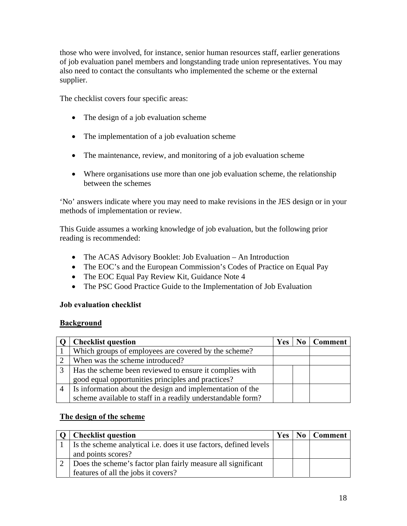those who were involved, for instance, senior human resources staff, earlier generations of job evaluation panel members and longstanding trade union representatives. You may also need to contact the consultants who implemented the scheme or the external supplier.

The checklist covers four specific areas:

- The design of a job evaluation scheme
- The implementation of a job evaluation scheme
- The maintenance, review, and monitoring of a job evaluation scheme
- Where organisations use more than one job evaluation scheme, the relationship between the schemes

'No' answers indicate where you may need to make revisions in the JES design or in your methods of implementation or review.

This Guide assumes a working knowledge of job evaluation, but the following prior reading is recommended:

- The ACAS Advisory Booklet: Job Evaluation An Introduction
- The EOC's and the European Commission's Codes of Practice on Equal Pay
- The EOC Equal Pay Review Kit, Guidance Note 4
- The PSC Good Practice Guide to the Implementation of Job Evaluation

# **Job evaluation checklist**

#### **Background**

|                | <b>Checklist question</b>                                   | Yes | $\bf{No} \mid \bf{Comment}$ |
|----------------|-------------------------------------------------------------|-----|-----------------------------|
|                | Which groups of employees are covered by the scheme?        |     |                             |
|                | When was the scheme introduced?                             |     |                             |
|                | Has the scheme been reviewed to ensure it complies with     |     |                             |
|                | good equal opportunities principles and practices?          |     |                             |
| $\overline{4}$ | Is information about the design and implementation of the   |     |                             |
|                | scheme available to staff in a readily understandable form? |     |                             |

# **The design of the scheme**

| <b>Checklist question</b>                                         | <b>Yes</b> | No   Comment |
|-------------------------------------------------------------------|------------|--------------|
| Is the scheme analytical i.e. does it use factors, defined levels |            |              |
| and points scores?                                                |            |              |
| Does the scheme's factor plan fairly measure all significant      |            |              |
| features of all the jobs it covers?                               |            |              |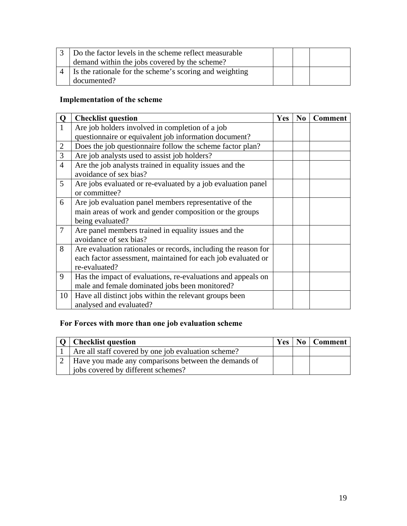| $\overline{3}$ Do the factor levels in the scheme reflect measurable |  |  |
|----------------------------------------------------------------------|--|--|
| demand within the jobs covered by the scheme?                        |  |  |
| Is the rationale for the scheme's scoring and weighting              |  |  |
| documented?                                                          |  |  |

# **Implementation of the scheme**

| Q               | <b>Checklist question</b>                                                                                                                       | <b>Yes</b> | N <sub>0</sub> | <b>Comment</b> |
|-----------------|-------------------------------------------------------------------------------------------------------------------------------------------------|------------|----------------|----------------|
| 1               | Are job holders involved in completion of a job                                                                                                 |            |                |                |
|                 | questionnaire or equivalent job information document?                                                                                           |            |                |                |
| $\overline{2}$  | Does the job questionnaire follow the scheme factor plan?                                                                                       |            |                |                |
| 3               | Are job analysts used to assist job holders?                                                                                                    |            |                |                |
| $\overline{4}$  | Are the job analysts trained in equality issues and the<br>avoidance of sex bias?                                                               |            |                |                |
| 5               | Are jobs evaluated or re-evaluated by a job evaluation panel<br>or committee?                                                                   |            |                |                |
| 6               | Are job evaluation panel members representative of the<br>main areas of work and gender composition or the groups<br>being evaluated?           |            |                |                |
| $7\phantom{.0}$ | Are panel members trained in equality issues and the<br>avoidance of sex bias?                                                                  |            |                |                |
| 8               | Are evaluation rationales or records, including the reason for<br>each factor assessment, maintained for each job evaluated or<br>re-evaluated? |            |                |                |
| 9               | Has the impact of evaluations, re-evaluations and appeals on<br>male and female dominated jobs been monitored?                                  |            |                |                |
| 10              | Have all distinct jobs within the relevant groups been<br>analysed and evaluated?                                                               |            |                |                |

# **For Forces with more than one job evaluation scheme**

| O   Checklist question                                   |  | Yes   No   Comment |
|----------------------------------------------------------|--|--------------------|
| 1   Are all staff covered by one job evaluation scheme?  |  |                    |
| 2   Have you made any comparisons between the demands of |  |                    |
| jobs covered by different schemes?                       |  |                    |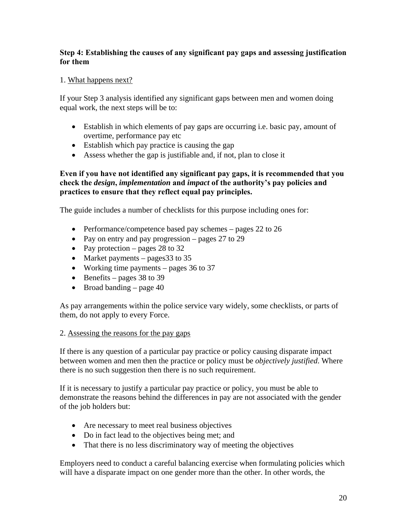# **Step 4: Establishing the causes of any significant pay gaps and assessing justification for them**

## 1. What happens next?

If your Step 3 analysis identified any significant gaps between men and women doing equal work, the next steps will be to:

- Establish in which elements of pay gaps are occurring i.e. basic pay, amount of overtime, performance pay etc
- Establish which pay practice is causing the gap
- Assess whether the gap is justifiable and, if not, plan to close it

# **Even if you have not identified any significant pay gaps, it is recommended that you check the** *design***,** *implementation* **and** *impact* **of the authority's pay policies and practices to ensure that they reflect equal pay principles.**

The guide includes a number of checklists for this purpose including ones for:

- Performance/competence based pay schemes pages 22 to 26
- Pay on entry and pay progression pages 27 to 29
- Pay protection pages 28 to 32
- Market payments pages 33 to 35
- Working time payments pages 36 to 37
- Benefits pages  $38$  to  $39$
- Broad banding  $-$  page 40

As pay arrangements within the police service vary widely, some checklists, or parts of them, do not apply to every Force.

#### 2. Assessing the reasons for the pay gaps

If there is any question of a particular pay practice or policy causing disparate impact between women and men then the practice or policy must be *objectively justified*. Where there is no such suggestion then there is no such requirement.

If it is necessary to justify a particular pay practice or policy, you must be able to demonstrate the reasons behind the differences in pay are not associated with the gender of the job holders but:

- Are necessary to meet real business objectives
- Do in fact lead to the objectives being met; and
- That there is no less discriminatory way of meeting the objectives

Employers need to conduct a careful balancing exercise when formulating policies which will have a disparate impact on one gender more than the other. In other words, the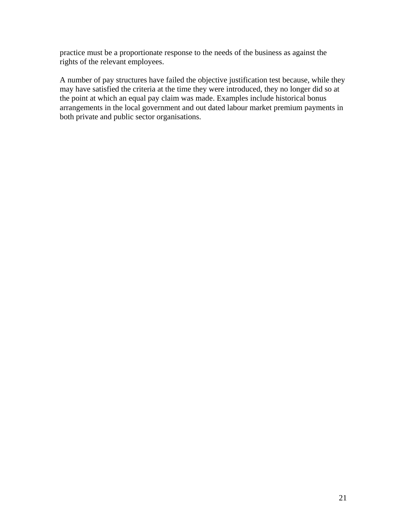practice must be a proportionate response to the needs of the business as against the rights of the relevant employees.

A number of pay structures have failed the objective justification test because, while they may have satisfied the criteria at the time they were introduced, they no longer did so at the point at which an equal pay claim was made. Examples include historical bonus arrangements in the local government and out dated labour market premium payments in both private and public sector organisations.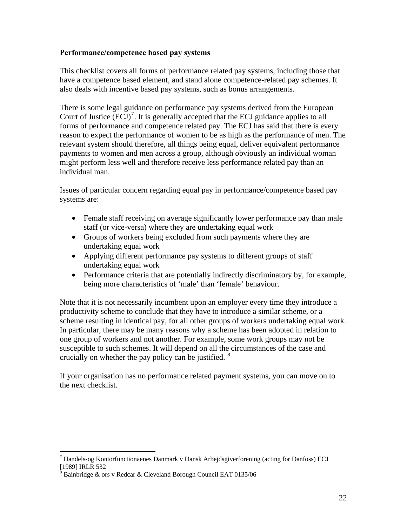## **Performance/competence based pay systems**

This checklist covers all forms of performance related pay systems, including those that have a competence based element, and stand alone competence-related pay schemes. It also deals with incentive based pay systems, such as bonus arrangements.

There is some legal guidance on performance pay systems derived from the European Court of Justice  $(ECJ)^7$  $(ECJ)^7$ . It is generally accepted that the ECJ guidance applies to all forms of performance and competence related pay. The ECJ has said that there is every reason to expect the performance of women to be as high as the performance of men. The relevant system should therefore, all things being equal, deliver equivalent performance payments to women and men across a group, although obviously an individual woman might perform less well and therefore receive less performance related pay than an individual man.

Issues of particular concern regarding equal pay in performance/competence based pay systems are:

- Female staff receiving on average significantly lower performance pay than male staff (or vice-versa) where they are undertaking equal work
- Groups of workers being excluded from such payments where they are undertaking equal work
- Applying different performance pay systems to different groups of staff undertaking equal work
- Performance criteria that are potentially indirectly discriminatory by, for example, being more characteristics of 'male' than 'female' behaviour.

Note that it is not necessarily incumbent upon an employer every time they introduce a productivity scheme to conclude that they have to introduce a similar scheme, or a scheme resulting in identical pay, for all other groups of workers undertaking equal work. In particular, there may be many reasons why a scheme has been adopted in relation to one group of workers and not another. For example, some work groups may not be susceptible to such schemes. It will depend on all the circumstances of the case and crucially on whether the pay policy can be justified.  $8$ 

If your organisation has no performance related payment systems, you can move on to the next checklist.

<span id="page-21-0"></span> $\overline{a}$ <sup>7</sup> Handels-og Kontorfunctionaenes Danmark v Dansk Arbejdsgiverforening (acting for Danfoss) ECJ [1989] IRLR 532

<span id="page-21-1"></span> $8$  Bainbridge & ors v Redcar & Cleveland Borough Council EAT 0135/06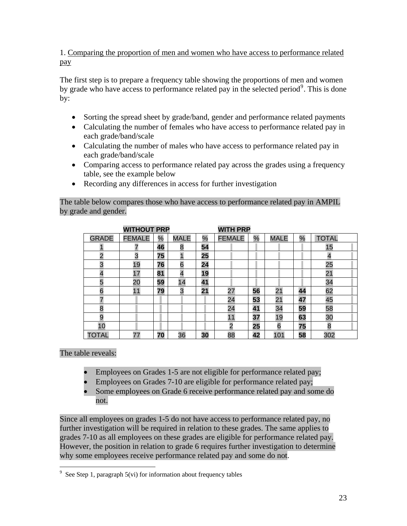1. Comparing the proportion of men and women who have access to performance related pay

The first step is to prepare a frequency table showing the proportions of men and women by grade who have access to performance related pay in the selected period<sup>[9](#page-22-0)</sup>. This is done by:

- Sorting the spread sheet by grade/band, gender and performance related payments
- Calculating the number of females who have access to performance related pay in each grade/band/scale
- Calculating the number of males who have access to performance related pay in each grade/band/scale
- Comparing access to performance related pay across the grades using a frequency table, see the example below
- Recording any differences in access for further investigation

# The table below compares those who have access to performance related pay in AMPIL by grade and gender.

| <b>GRADE</b>   | <b>FEMALE</b> | $\%$ | <b>MALE</b>    | $\%$ | <b>FEMALE</b>  | $\%$ | <b>MALE</b> | $\frac{1}{2}$ | <b>TOTAL</b> |
|----------------|---------------|------|----------------|------|----------------|------|-------------|---------------|--------------|
|                | 7             | 46   | 8              | 54   |                |      |             |               | 15           |
| $\overline{2}$ | 3             | 75   |                | 25   |                |      |             |               | 4            |
| 3              | 19            | 76   | 6              | 24   |                |      |             |               | 25           |
|                | 17            | 81   | $\overline{4}$ | 19   |                |      |             |               | 21           |
| 5              | 20            | 59   | 14             | 41   |                |      |             |               | 34           |
| 6              | 11            | 79   | 3              | 21   | 27             | 56   | 21          | 44            | 62           |
| 7              |               |      |                |      | 24             | 53   | 21          | 47            | 45           |
| 8              |               |      |                |      | 24             | 41   | 34          | 59            | 58           |
| 9              |               |      |                |      | 11             | 37   | 19          | 63            | 30           |
| 10             |               |      |                |      | $\overline{2}$ | 25   | 6           | 75            | 8            |
| TOTAL          | 77            | 70   | 36             | 30   | 88             | 42   | 101         | 58            | 302          |

The table reveals:

- Employees on Grades 1-5 are not eligible for performance related pay;
- Employees on Grades 7-10 are eligible for performance related pay;<br>• Some employees on Grade 6 receive performance related pay and so
- Some employees on Grade 6 receive performance related pay and some do not.

Since all employees on grades 1-5 do not have access to performance related pay, no further investigation will be required in relation to these grades. The same applies to grades 7-10 as all employees on these grades are eligible for performance related pay. However, the position in relation to grade 6 requires further investigation to determine why some employees receive performance related pay and some do not.

<span id="page-22-0"></span> 9 See Step 1, paragraph 5(vi) for information about frequency tables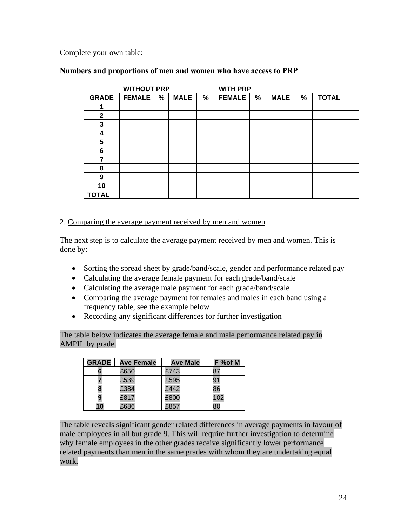Complete your own table:

## **Numbers and proportions of men and women who have access to PRP**

|              | <b>WITHOUT PRP</b> |   |             |   | <b>WITH PRP</b> |      |             |      |              |
|--------------|--------------------|---|-------------|---|-----------------|------|-------------|------|--------------|
| <b>GRADE</b> | <b>FEMALE</b>      | % | <b>MALE</b> | % | <b>FEMALE</b>   | $\%$ | <b>MALE</b> | $\%$ | <b>TOTAL</b> |
|              |                    |   |             |   |                 |      |             |      |              |
| $\mathbf{2}$ |                    |   |             |   |                 |      |             |      |              |
| $\mathbf{3}$ |                    |   |             |   |                 |      |             |      |              |
| 4            |                    |   |             |   |                 |      |             |      |              |
| 5            |                    |   |             |   |                 |      |             |      |              |
| 6            |                    |   |             |   |                 |      |             |      |              |
| 7            |                    |   |             |   |                 |      |             |      |              |
| 8            |                    |   |             |   |                 |      |             |      |              |
| 9            |                    |   |             |   |                 |      |             |      |              |
| 10           |                    |   |             |   |                 |      |             |      |              |
| <b>TOTAL</b> |                    |   |             |   |                 |      |             |      |              |

### 2. Comparing the average payment received by men and women

The next step is to calculate the average payment received by men and women. This is done by:

- Sorting the spread sheet by grade/band/scale, gender and performance related pay
- Calculating the average female payment for each grade/band/scale
- Calculating the average male payment for each grade/band/scale
- Comparing the average payment for females and males in each band using a frequency table, see the example below
- Recording any significant differences for further investigation

The table below indicates the average female and male performance related pay in AMPIL by grade.

| <b>GRADE</b> | <b>Ave Female</b> | <b>Ave Male</b> | F %of M |
|--------------|-------------------|-----------------|---------|
|              | £650              | £743            |         |
|              | £539              | £595            | 91      |
|              | £384              | £442            | 86      |
|              | £817              | £800            | 102     |
| 10           | £686              | £857            |         |

The table reveals significant gender related differences in average payments in favour of male employees in all but grade 9. This will require further investigation to determine why female employees in the other grades receive significantly lower performance related payments than men in the same grades with whom they are undertaking equal work.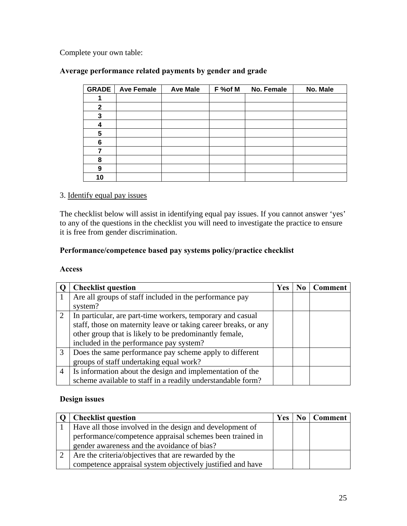Complete your own table:

# **Average performance related payments by gender and grade**

| <b>GRADE</b> | <b>Ave Female</b> | <b>Ave Male</b> | F %of M | No. Female | No. Male |
|--------------|-------------------|-----------------|---------|------------|----------|
|              |                   |                 |         |            |          |
| $\mathbf{2}$ |                   |                 |         |            |          |
| 3            |                   |                 |         |            |          |
| 4            |                   |                 |         |            |          |
| 5            |                   |                 |         |            |          |
| 6            |                   |                 |         |            |          |
| 7            |                   |                 |         |            |          |
| 8            |                   |                 |         |            |          |
| 9            |                   |                 |         |            |          |
| 10           |                   |                 |         |            |          |

# 3. Identify equal pay issues

The checklist below will assist in identifying equal pay issues. If you cannot answer 'yes' to any of the questions in the checklist you will need to investigate the practice to ensure it is free from gender discrimination.

# **Performance/competence based pay systems policy/practice checklist**

#### **Access**

|                | <b>Checklist question</b>                                       | <b>Yes</b> | $\mathbf{N}\mathbf{0}$ | <b>Comment</b> |
|----------------|-----------------------------------------------------------------|------------|------------------------|----------------|
|                | Are all groups of staff included in the performance pay         |            |                        |                |
|                | system?                                                         |            |                        |                |
| $\overline{2}$ | In particular, are part-time workers, temporary and casual      |            |                        |                |
|                | staff, those on maternity leave or taking career breaks, or any |            |                        |                |
|                | other group that is likely to be predominantly female,          |            |                        |                |
|                | included in the performance pay system?                         |            |                        |                |
| 3              | Does the same performance pay scheme apply to different         |            |                        |                |
|                | groups of staff undertaking equal work?                         |            |                        |                |
| $\overline{4}$ | Is information about the design and implementation of the       |            |                        |                |
|                | scheme available to staff in a readily understandable form?     |            |                        |                |

# **Design issues**

| <b>Checklist question</b>                                  | Yes | $\overline{N_0}$ | Comment |
|------------------------------------------------------------|-----|------------------|---------|
| Have all those involved in the design and development of   |     |                  |         |
| performance/competence appraisal schemes been trained in   |     |                  |         |
| gender awareness and the avoidance of bias?                |     |                  |         |
| Are the criteria/objectives that are rewarded by the       |     |                  |         |
| competence appraisal system objectively justified and have |     |                  |         |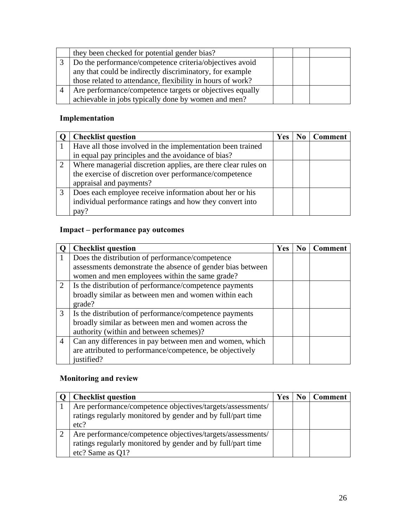|                | they been checked for potential gender bias?               |  |  |
|----------------|------------------------------------------------------------|--|--|
|                | Do the performance/competence criteria/objectives avoid    |  |  |
|                | any that could be indirectly discriminatory, for example   |  |  |
|                | those related to attendance, flexibility in hours of work? |  |  |
| $\overline{4}$ | Are performance/competence targets or objectives equally   |  |  |
|                | achievable in jobs typically done by women and men?        |  |  |

# **Implementation**

|   | <b>Checklist question</b>                                     | <b>Yes</b> | N <sub>0</sub> | <b>Comment</b> |
|---|---------------------------------------------------------------|------------|----------------|----------------|
|   | Have all those involved in the implementation been trained    |            |                |                |
|   | in equal pay principles and the avoidance of bias?            |            |                |                |
| 2 | Where managerial discretion applies, are there clear rules on |            |                |                |
|   | the exercise of discretion over performance/competence        |            |                |                |
|   | appraisal and payments?                                       |            |                |                |
| 3 | Does each employee receive information about her or his       |            |                |                |
|   | individual performance ratings and how they convert into      |            |                |                |
|   | pay?                                                          |            |                |                |

# **Impact – performance pay outcomes**

|                | <b>Checklist question</b>                                  | Yes | N <sub>0</sub> | Comment |
|----------------|------------------------------------------------------------|-----|----------------|---------|
|                | Does the distribution of performance/competence            |     |                |         |
|                | assessments demonstrate the absence of gender bias between |     |                |         |
|                | women and men employees within the same grade?             |     |                |         |
| 2              | Is the distribution of performance/competence payments     |     |                |         |
|                | broadly similar as between men and women within each       |     |                |         |
|                | grade?                                                     |     |                |         |
| $\mathfrak{Z}$ | Is the distribution of performance/competence payments     |     |                |         |
|                | broadly similar as between men and women across the        |     |                |         |
|                | authority (within and between schemes)?                    |     |                |         |
| 4              | Can any differences in pay between men and women, which    |     |                |         |
|                | are attributed to performance/competence, be objectively   |     |                |         |
|                | justified?                                                 |     |                |         |

# **Monitoring and review**

|   | <b>Checklist question</b>                                   | <b>Yes</b> | <b>Comment</b> |
|---|-------------------------------------------------------------|------------|----------------|
|   | Are performance/competence objectives/targets/assessments/  |            |                |
|   | ratings regularly monitored by gender and by full/part time |            |                |
|   | etc?                                                        |            |                |
| 2 | Are performance/competence objectives/targets/assessments/  |            |                |
|   | ratings regularly monitored by gender and by full/part time |            |                |
|   | etc? Same as Q1?                                            |            |                |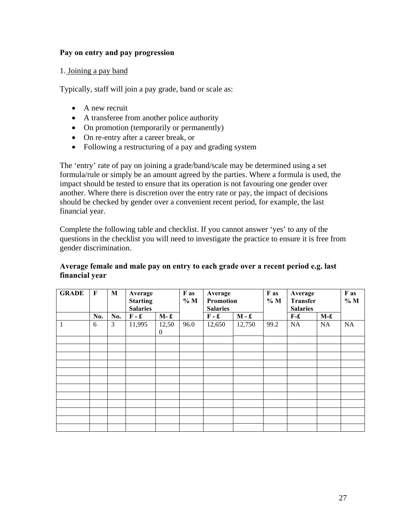## **Pay on entry and pay progression**

### 1. Joining a pay band

Typically, staff will join a pay grade, band or scale as:

- A new recruit
- A transferee from another police authority
- On promotion (temporarily or permanently)
- On re-entry after a career break, or
- Following a restructuring of a pay and grading system

The 'entry' rate of pay on joining a grade/band/scale may be determined using a set formula/rule or simply be an amount agreed by the parties. Where a formula is used, the impact should be tested to ensure that its operation is not favouring one gender over another. Where there is discretion over the entry rate or pay, the impact of decisions should be checked by gender over a convenient recent period, for example, the last financial year.

Complete the following table and checklist. If you cannot answer 'yes' to any of the questions in the checklist you will need to investigate the practice to ensure it is free from gender discrimination.

#### **Average female and male pay on entry to each grade over a recent period e.g. last financial year**

| <b>GRADE</b> | F   | M   | Average<br><b>Starting</b><br><b>Salaries</b> | F as<br>%M        |      | Average<br>Promotion<br><b>Salaries</b> |         | F as<br>%M | Average<br><b>Transfer</b><br><b>Salaries</b> |       | F as<br>% M |
|--------------|-----|-----|-----------------------------------------------|-------------------|------|-----------------------------------------|---------|------------|-----------------------------------------------|-------|-------------|
|              | No. | No. | $F - E$                                       | $M-f$             |      | $F - f$                                 | $M - f$ |            | $F-f$                                         | $M-f$ |             |
| 1            | 6   | 3   | 11,995                                        | 12,50<br>$\theta$ | 96.0 | 12,650                                  | 12,750  | 99.2       | <b>NA</b>                                     | NA    | <b>NA</b>   |
|              |     |     |                                               |                   |      |                                         |         |            |                                               |       |             |
|              |     |     |                                               |                   |      |                                         |         |            |                                               |       |             |
|              |     |     |                                               |                   |      |                                         |         |            |                                               |       |             |
|              |     |     |                                               |                   |      |                                         |         |            |                                               |       |             |
|              |     |     |                                               |                   |      |                                         |         |            |                                               |       |             |
|              |     |     |                                               |                   |      |                                         |         |            |                                               |       |             |
|              |     |     |                                               |                   |      |                                         |         |            |                                               |       |             |
|              |     |     |                                               |                   |      |                                         |         |            |                                               |       |             |
|              |     |     |                                               |                   |      |                                         |         |            |                                               |       |             |
|              |     |     |                                               |                   |      |                                         |         |            |                                               |       |             |
|              |     |     |                                               |                   |      |                                         |         |            |                                               |       |             |
|              |     |     |                                               |                   |      |                                         |         |            |                                               |       |             |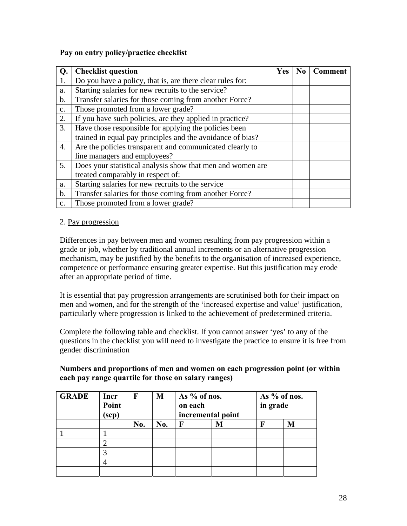# **Pay on entry policy/practice checklist**

| Q.            | <b>Checklist question</b>                                  | Yes | No | <b>Comment</b> |
|---------------|------------------------------------------------------------|-----|----|----------------|
|               | Do you have a policy, that is, are there clear rules for:  |     |    |                |
| a.            | Starting salaries for new recruits to the service?         |     |    |                |
| $\mathbf b$ . | Transfer salaries for those coming from another Force?     |     |    |                |
| c.            | Those promoted from a lower grade?                         |     |    |                |
| 2.            | If you have such policies, are they applied in practice?   |     |    |                |
| 3.            | Have those responsible for applying the policies been      |     |    |                |
|               | trained in equal pay principles and the avoidance of bias? |     |    |                |
| 4.            | Are the policies transparent and communicated clearly to   |     |    |                |
|               | line managers and employees?                               |     |    |                |
| 5.            | Does your statistical analysis show that men and women are |     |    |                |
|               | treated comparably in respect of:                          |     |    |                |
| a.            | Starting salaries for new recruits to the service          |     |    |                |
| b.            | Transfer salaries for those coming from another Force?     |     |    |                |
| c.            | Those promoted from a lower grade?                         |     |    |                |

# 2. Pay progression

Differences in pay between men and women resulting from pay progression within a grade or job, whether by traditional annual increments or an alternative progression mechanism, may be justified by the benefits to the organisation of increased experience, competence or performance ensuring greater expertise. But this justification may erode after an appropriate period of time.

It is essential that pay progression arrangements are scrutinised both for their impact on men and women, and for the strength of the 'increased expertise and value' justification, particularly where progression is linked to the achievement of predetermined criteria.

Complete the following table and checklist. If you cannot answer 'yes' to any of the questions in the checklist you will need to investigate the practice to ensure it is free from gender discrimination

# **Numbers and proportions of men and women on each progression point (or within each pay range quartile for those on salary ranges)**

| <b>GRADE</b> | Incr<br>Point<br>$(\text{scp})$ | $\mathbf F$ | M   | As % of nos.<br>on each<br>incremental point |   | As $%$ of nos.<br>in grade |   |
|--------------|---------------------------------|-------------|-----|----------------------------------------------|---|----------------------------|---|
|              |                                 | No.         | No. | F                                            | M | F                          | M |
|              |                                 |             |     |                                              |   |                            |   |
|              |                                 |             |     |                                              |   |                            |   |
|              |                                 |             |     |                                              |   |                            |   |
|              |                                 |             |     |                                              |   |                            |   |
|              |                                 |             |     |                                              |   |                            |   |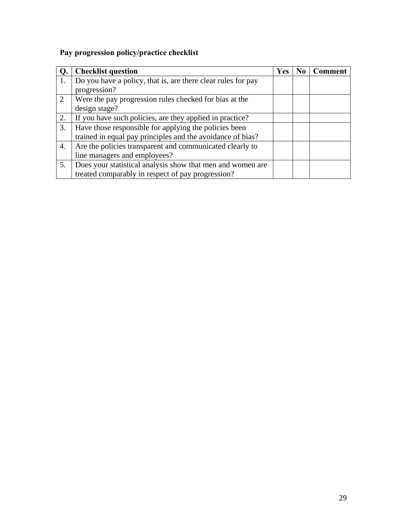# **Pay progression policy/practice checklist**

|    | <b>Checklist question</b>                                    | <b>Yes</b> | N <sub>0</sub> | <b>Comment</b> |
|----|--------------------------------------------------------------|------------|----------------|----------------|
| 1. | Do you have a policy, that is, are there clear rules for pay |            |                |                |
|    | progression?                                                 |            |                |                |
| 2  | Were the pay progression rules checked for bias at the       |            |                |                |
|    | design stage?                                                |            |                |                |
| 2. | If you have such policies, are they applied in practice?     |            |                |                |
| 3. | Have those responsible for applying the policies been        |            |                |                |
|    | trained in equal pay principles and the avoidance of bias?   |            |                |                |
| 4. | Are the policies transparent and communicated clearly to     |            |                |                |
|    | line managers and employees?                                 |            |                |                |
| 5. | Does your statistical analysis show that men and women are   |            |                |                |
|    | treated comparably in respect of pay progression?            |            |                |                |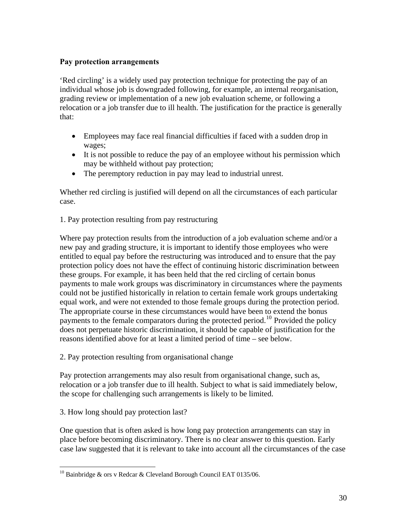# **Pay protection arrangements**

'Red circling' is a widely used pay protection technique for protecting the pay of an individual whose job is downgraded following, for example, an internal reorganisation, grading review or implementation of a new job evaluation scheme, or following a relocation or a job transfer due to ill health. The justification for the practice is generally that:

- Employees may face real financial difficulties if faced with a sudden drop in wages;
- It is not possible to reduce the pay of an employee without his permission which may be withheld without pay protection;
- The peremptory reduction in pay may lead to industrial unrest.

Whether red circling is justified will depend on all the circumstances of each particular case.

1. Pay protection resulting from pay restructuring

Where pay protection results from the introduction of a job evaluation scheme and/or a new pay and grading structure, it is important to identify those employees who were entitled to equal pay before the restructuring was introduced and to ensure that the pay protection policy does not have the effect of continuing historic discrimination between these groups. For example, it has been held that the red circling of certain bonus payments to male work groups was discriminatory in circumstances where the payments could not be justified historically in relation to certain female work groups undertaking equal work, and were not extended to those female groups during the protection period. The appropriate course in these circumstances would have been to extend the bonus payments to the female comparators during the protected period.<sup>[10](#page-29-0)</sup> Provided the policy does not perpetuate historic discrimination, it should be capable of justification for the reasons identified above for at least a limited period of time – see below.

2. Pay protection resulting from organisational change

Pay protection arrangements may also result from organisational change, such as, relocation or a job transfer due to ill health. Subject to what is said immediately below, the scope for challenging such arrangements is likely to be limited.

3. How long should pay protection last?

One question that is often asked is how long pay protection arrangements can stay in place before becoming discriminatory. There is no clear answer to this question. Early case law suggested that it is relevant to take into account all the circumstances of the case

<span id="page-29-0"></span> $\overline{a}$ <sup>10</sup> Bainbridge & ors v Redcar & Cleveland Borough Council EAT 0135/06.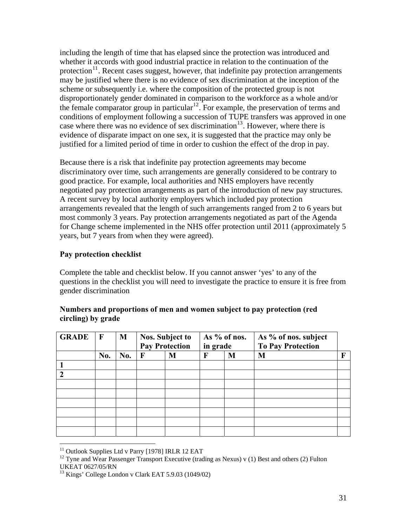including the length of time that has elapsed since the protection was introduced and whether it accords with good industrial practice in relation to the continuation of the protection<sup>[11](#page-30-0)</sup>. Recent cases suggest, however, that indefinite pay protection arrangements may be justified where there is no evidence of sex discrimination at the inception of the scheme or subsequently i.e. where the composition of the protected group is not disproportionately gender dominated in comparison to the workforce as a whole and/or the female comparator group in particular<sup>[12](#page-30-1)</sup>. For example, the preservation of terms and conditions of employment following a succession of TUPE transfers was approved in one case where there was no evidence of sex discrimination<sup>[13](#page-30-2)</sup>. However, where there is evidence of disparate impact on one sex, it is suggested that the practice may only be justified for a limited period of time in order to cushion the effect of the drop in pay.

Because there is a risk that indefinite pay protection agreements may become discriminatory over time, such arrangements are generally considered to be contrary to good practice. For example, local authorities and NHS employers have recently negotiated pay protection arrangements as part of the introduction of new pay structures. A recent survey by local authority employers which included pay protection arrangements revealed that the length of such arrangements ranged from 2 to 6 years but most commonly 3 years. Pay protection arrangements negotiated as part of the Agenda for Change scheme implemented in the NHS offer protection until 2011 (approximately 5 years, but 7 years from when they were agreed).

# **Pay protection checklist**

Complete the table and checklist below. If you cannot answer 'yes' to any of the questions in the checklist you will need to investigate the practice to ensure it is free from gender discrimination

| <b>GRADE</b>  | $\mathbf{F}$ | M   | <b>Nos. Subject to</b><br><b>Pay Protection</b> |   | As % of nos.<br>in grade |   | As % of nos. subject<br><b>To Pay Protection</b> |   |
|---------------|--------------|-----|-------------------------------------------------|---|--------------------------|---|--------------------------------------------------|---|
|               | No.          | No. | $\mathbf F$                                     | M | $\mathbf F$              | M | M                                                | F |
|               |              |     |                                                 |   |                          |   |                                                  |   |
| $\mathcal{D}$ |              |     |                                                 |   |                          |   |                                                  |   |
|               |              |     |                                                 |   |                          |   |                                                  |   |
|               |              |     |                                                 |   |                          |   |                                                  |   |
|               |              |     |                                                 |   |                          |   |                                                  |   |
|               |              |     |                                                 |   |                          |   |                                                  |   |
|               |              |     |                                                 |   |                          |   |                                                  |   |
|               |              |     |                                                 |   |                          |   |                                                  |   |

# **Numbers and proportions of men and women subject to pay protection (red circling) by grade**

 $\overline{a}$ 

 $11$  Outlook Supplies Ltd v Parry [1978] IRLR 12 EAT

<span id="page-30-1"></span><span id="page-30-0"></span><sup>&</sup>lt;sup>12</sup> Tyne and Wear Passenger Transport Executive (trading as Nexus) v (1) Best and others (2) Fulton UKEAT 0627/05/RN

<span id="page-30-2"></span><sup>13</sup> Kings' College London v Clark EAT 5.9.03 (1049/02)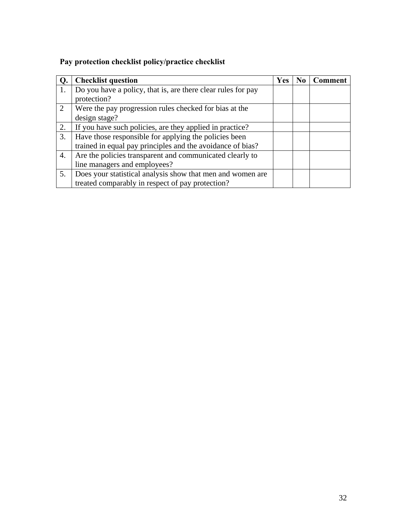# **Pay protection checklist policy/practice checklist**

|                | <b>Checklist question</b>                                    | <b>Yes</b> | N <sub>0</sub> | <b>Comment</b> |
|----------------|--------------------------------------------------------------|------------|----------------|----------------|
| 1.             | Do you have a policy, that is, are there clear rules for pay |            |                |                |
|                | protection?                                                  |            |                |                |
| $\overline{2}$ | Were the pay progression rules checked for bias at the       |            |                |                |
|                | design stage?                                                |            |                |                |
| 2.             | If you have such policies, are they applied in practice?     |            |                |                |
| 3.             | Have those responsible for applying the policies been        |            |                |                |
|                | trained in equal pay principles and the avoidance of bias?   |            |                |                |
| 4.             | Are the policies transparent and communicated clearly to     |            |                |                |
|                | line managers and employees?                                 |            |                |                |
| 5.             | Does your statistical analysis show that men and women are   |            |                |                |
|                | treated comparably in respect of pay protection?             |            |                |                |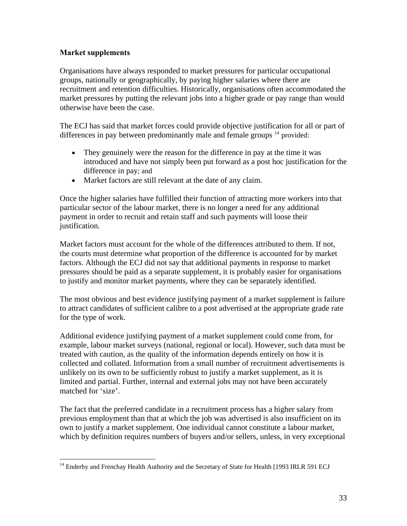## **Market supplements**

Organisations have always responded to market pressures for particular occupational groups, nationally or geographically, by paying higher salaries where there are recruitment and retention difficulties. Historically, organisations often accommodated the market pressures by putting the relevant jobs into a higher grade or pay range than would otherwise have been the case.

The ECJ has said that market forces could provide objective justification for all or part of differences in pay between predominantly male and female groups <sup>[14](#page-32-0)</sup> provided:

- They genuinely were the reason for the difference in pay at the time it was introduced and have not simply been put forward as a post hoc justification for the difference in pay; and
- Market factors are still relevant at the date of any claim.

Once the higher salaries have fulfilled their function of attracting more workers into that particular sector of the labour market, there is no longer a need for any additional payment in order to recruit and retain staff and such payments will loose their justification.

Market factors must account for the whole of the differences attributed to them. If not, the courts must determine what proportion of the difference is accounted for by market factors. Although the ECJ did not say that additional payments in response to market pressures should be paid as a separate supplement, it is probably easier for organisations to justify and monitor market payments, where they can be separately identified.

The most obvious and best evidence justifying payment of a market supplement is failure to attract candidates of sufficient calibre to a post advertised at the appropriate grade rate for the type of work.

Additional evidence justifying payment of a market supplement could come from, for example, labour market surveys (national, regional or local). However, such data must be treated with caution, as the quality of the information depends entirely on how it is collected and collated. Information from a small number of recruitment advertisements is unlikely on its own to be sufficiently robust to justify a market supplement, as it is limited and partial. Further, internal and external jobs may not have been accurately matched for 'size'.

The fact that the preferred candidate in a recruitment process has a higher salary from previous employment than that at which the job was advertised is also insufficient on its own to justify a market supplement. One individual cannot constitute a labour market, which by definition requires numbers of buyers and/or sellers, unless, in very exceptional

<span id="page-32-0"></span> $\overline{a}$ <sup>14</sup> Enderby and Frenchay Health Authority and the Secretary of State for Health [1993 IRLR 591 ECJ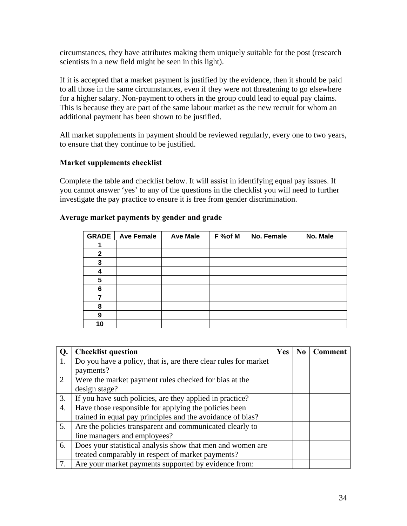circumstances, they have attributes making them uniquely suitable for the post (research scientists in a new field might be seen in this light).

If it is accepted that a market payment is justified by the evidence, then it should be paid to all those in the same circumstances, even if they were not threatening to go elsewhere for a higher salary. Non-payment to others in the group could lead to equal pay claims. This is because they are part of the same labour market as the new recruit for whom an additional payment has been shown to be justified.

All market supplements in payment should be reviewed regularly, every one to two years, to ensure that they continue to be justified.

# **Market supplements checklist**

Complete the table and checklist below. It will assist in identifying equal pay issues. If you cannot answer 'yes' to any of the questions in the checklist you will need to further investigate the pay practice to ensure it is free from gender discrimination.

| <b>GRADE</b> | <b>Ave Female</b> | <b>Ave Male</b> | F %of M | No. Female | No. Male |
|--------------|-------------------|-----------------|---------|------------|----------|
|              |                   |                 |         |            |          |
| $\mathbf{2}$ |                   |                 |         |            |          |
| 3            |                   |                 |         |            |          |
| 4            |                   |                 |         |            |          |
| 5            |                   |                 |         |            |          |
| 6            |                   |                 |         |            |          |
|              |                   |                 |         |            |          |
| 8            |                   |                 |         |            |          |
| 9            |                   |                 |         |            |          |
| 10           |                   |                 |         |            |          |

### **Average market payments by gender and grade**

| Q. | <b>Checklist question</b>                                       | <b>Yes</b> | N <sub>0</sub> | <b>Comment</b> |
|----|-----------------------------------------------------------------|------------|----------------|----------------|
| 1. | Do you have a policy, that is, are there clear rules for market |            |                |                |
|    | payments?                                                       |            |                |                |
| 2  | Were the market payment rules checked for bias at the           |            |                |                |
|    | design stage?                                                   |            |                |                |
| 3. | If you have such policies, are they applied in practice?        |            |                |                |
| 4. | Have those responsible for applying the policies been           |            |                |                |
|    | trained in equal pay principles and the avoidance of bias?      |            |                |                |
| 5. | Are the policies transparent and communicated clearly to        |            |                |                |
|    | line managers and employees?                                    |            |                |                |
| 6. | Does your statistical analysis show that men and women are      |            |                |                |
|    | treated comparably in respect of market payments?               |            |                |                |
| 7. | Are your market payments supported by evidence from:            |            |                |                |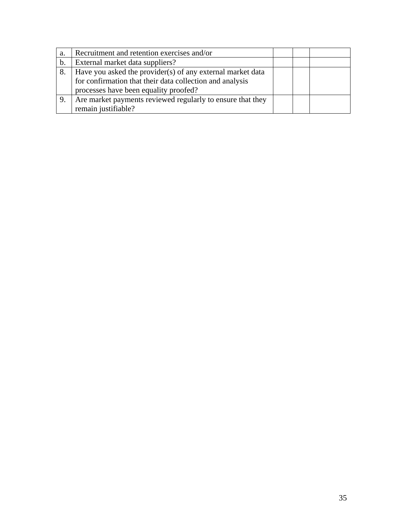| a. | Recruitment and retention exercises and/or                 |  |  |
|----|------------------------------------------------------------|--|--|
| b. | External market data suppliers?                            |  |  |
| 8. | Have you asked the provider(s) of any external market data |  |  |
|    | for confirmation that their data collection and analysis   |  |  |
|    | processes have been equality proofed?                      |  |  |
|    | Are market payments reviewed regularly to ensure that they |  |  |
|    | remain justifiable?                                        |  |  |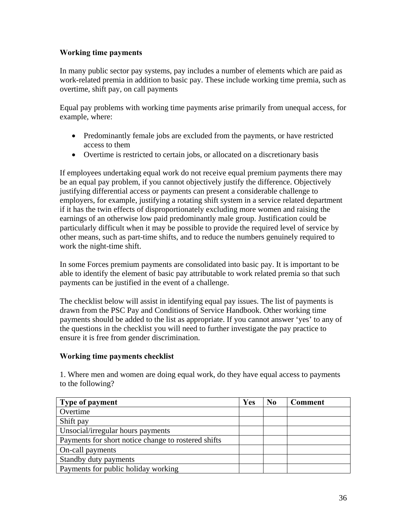# **Working time payments**

In many public sector pay systems, pay includes a number of elements which are paid as work-related premia in addition to basic pay. These include working time premia, such as overtime, shift pay, on call payments

Equal pay problems with working time payments arise primarily from unequal access, for example, where:

- Predominantly female jobs are excluded from the payments, or have restricted access to them
- Overtime is restricted to certain jobs, or allocated on a discretionary basis

If employees undertaking equal work do not receive equal premium payments there may be an equal pay problem, if you cannot objectively justify the difference. Objectively justifying differential access or payments can present a considerable challenge to employers, for example, justifying a rotating shift system in a service related department if it has the twin effects of disproportionately excluding more women and raising the earnings of an otherwise low paid predominantly male group. Justification could be particularly difficult when it may be possible to provide the required level of service by other means, such as part-time shifts, and to reduce the numbers genuinely required to work the night-time shift.

In some Forces premium payments are consolidated into basic pay. It is important to be able to identify the element of basic pay attributable to work related premia so that such payments can be justified in the event of a challenge.

The checklist below will assist in identifying equal pay issues. The list of payments is drawn from the PSC Pay and Conditions of Service Handbook. Other working time payments should be added to the list as appropriate. If you cannot answer 'yes' to any of the questions in the checklist you will need to further investigate the pay practice to ensure it is free from gender discrimination.

# **Working time payments checklist**

1. Where men and women are doing equal work, do they have equal access to payments to the following?

| <b>Type of payment</b>                              | Yes | $\bf No$ | <b>Comment</b> |
|-----------------------------------------------------|-----|----------|----------------|
| Overtime                                            |     |          |                |
| Shift pay                                           |     |          |                |
| Unsocial/irregular hours payments                   |     |          |                |
| Payments for short notice change to rostered shifts |     |          |                |
| On-call payments                                    |     |          |                |
| Standby duty payments                               |     |          |                |
| Payments for public holiday working                 |     |          |                |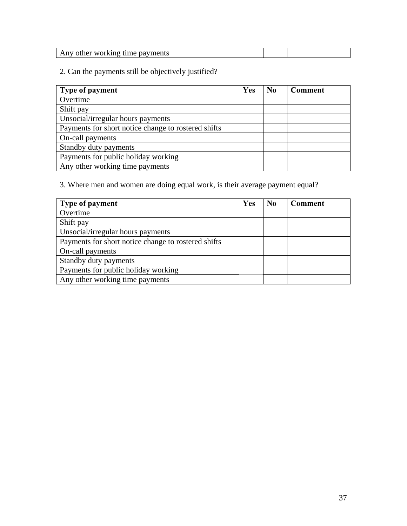| ∵workino<br>payments<br>റfher<br>time.<br>.nv<br>1 M.I |  |  |
|--------------------------------------------------------|--|--|

2. Can the payments still be objectively justified?

| Type of payment                                     | Yes | $\bf No$ | <b>Comment</b> |
|-----------------------------------------------------|-----|----------|----------------|
| Overtime                                            |     |          |                |
| Shift pay                                           |     |          |                |
| Unsocial/irregular hours payments                   |     |          |                |
| Payments for short notice change to rostered shifts |     |          |                |
| On-call payments                                    |     |          |                |
| Standby duty payments                               |     |          |                |
| Payments for public holiday working                 |     |          |                |
| Any other working time payments                     |     |          |                |

3. Where men and women are doing equal work, is their average payment equal?

| Type of payment                                     | Yes | $\bf No$ | <b>Comment</b> |
|-----------------------------------------------------|-----|----------|----------------|
| Overtime                                            |     |          |                |
| Shift pay                                           |     |          |                |
| Unsocial/irregular hours payments                   |     |          |                |
| Payments for short notice change to rostered shifts |     |          |                |
| On-call payments                                    |     |          |                |
| Standby duty payments                               |     |          |                |
| Payments for public holiday working                 |     |          |                |
| Any other working time payments                     |     |          |                |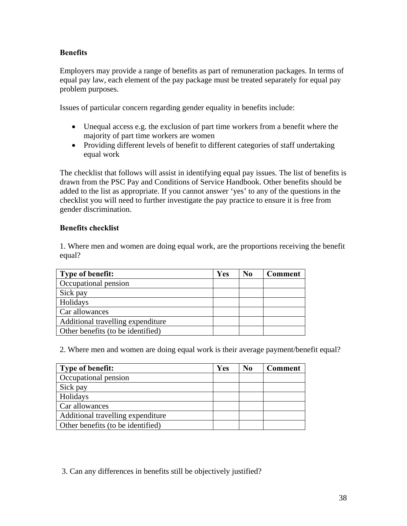# **Benefits**

Employers may provide a range of benefits as part of remuneration packages. In terms of equal pay law, each element of the pay package must be treated separately for equal pay problem purposes.

Issues of particular concern regarding gender equality in benefits include:

- Unequal access e.g. the exclusion of part time workers from a benefit where the majority of part time workers are women
- Providing different levels of benefit to different categories of staff undertaking equal work

The checklist that follows will assist in identifying equal pay issues. The list of benefits is drawn from the PSC Pay and Conditions of Service Handbook. Other benefits should be added to the list as appropriate. If you cannot answer 'yes' to any of the questions in the checklist you will need to further investigate the pay practice to ensure it is free from gender discrimination.

# **Benefits checklist**

1. Where men and women are doing equal work, are the proportions receiving the benefit equal?

| Type of benefit:                  | Yes | N <sub>0</sub> | <b>Comment</b> |
|-----------------------------------|-----|----------------|----------------|
| Occupational pension              |     |                |                |
| Sick pay                          |     |                |                |
| Holidays                          |     |                |                |
| Car allowances                    |     |                |                |
| Additional travelling expenditure |     |                |                |
| Other benefits (to be identified) |     |                |                |

2. Where men and women are doing equal work is their average payment/benefit equal?

| Type of benefit:                  | Yes | No. | <b>Comment</b> |
|-----------------------------------|-----|-----|----------------|
| Occupational pension              |     |     |                |
| Sick pay                          |     |     |                |
| Holidays                          |     |     |                |
| Car allowances                    |     |     |                |
| Additional travelling expenditure |     |     |                |
| Other benefits (to be identified) |     |     |                |

3. Can any differences in benefits still be objectively justified?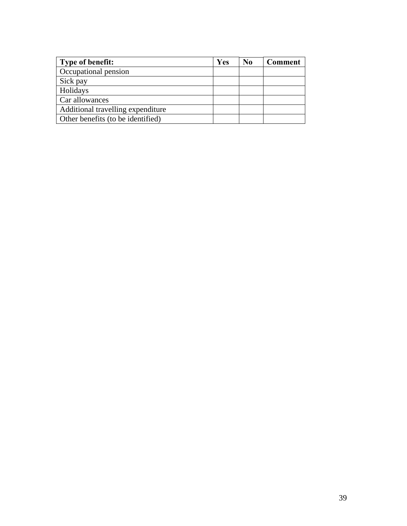| Type of benefit:                  | Yes | N <sub>0</sub> | <b>Comment</b> |
|-----------------------------------|-----|----------------|----------------|
| Occupational pension              |     |                |                |
| Sick pay                          |     |                |                |
| Holidays                          |     |                |                |
| Car allowances                    |     |                |                |
| Additional travelling expenditure |     |                |                |
| Other benefits (to be identified) |     |                |                |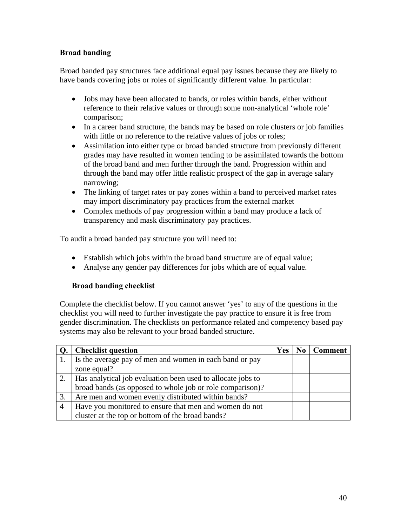# **Broad banding**

Broad banded pay structures face additional equal pay issues because they are likely to have bands covering jobs or roles of significantly different value. In particular:

- Jobs may have been allocated to bands, or roles within bands, either without reference to their relative values or through some non-analytical 'whole role' comparison;
- In a career band structure, the bands may be based on role clusters or job families with little or no reference to the relative values of jobs or roles;
- Assimilation into either type or broad banded structure from previously different grades may have resulted in women tending to be assimilated towards the bottom of the broad band and men further through the band. Progression within and through the band may offer little realistic prospect of the gap in average salary narrowing;
- The linking of target rates or pay zones within a band to perceived market rates may import discriminatory pay practices from the external market
- Complex methods of pay progression within a band may produce a lack of transparency and mask discriminatory pay practices.

To audit a broad banded pay structure you will need to:

- Establish which jobs within the broad band structure are of equal value;
- Analyse any gender pay differences for jobs which are of equal value.

#### **Broad banding checklist**

Complete the checklist below. If you cannot answer 'yes' to any of the questions in the checklist you will need to further investigate the pay practice to ensure it is free from gender discrimination. The checklists on performance related and competency based pay systems may also be relevant to your broad banded structure.

|                | <b>Checklist question</b>                                   | Yes | N <sub>0</sub> | <b>Comment</b> |
|----------------|-------------------------------------------------------------|-----|----------------|----------------|
| 1.             | Is the average pay of men and women in each band or pay     |     |                |                |
|                | zone equal?                                                 |     |                |                |
| 2.             | Has analytical job evaluation been used to allocate jobs to |     |                |                |
|                | broad bands (as opposed to whole job or role comparison)?   |     |                |                |
| 3.             | Are men and women evenly distributed within bands?          |     |                |                |
| $\overline{4}$ | Have you monitored to ensure that men and women do not      |     |                |                |
|                | cluster at the top or bottom of the broad bands?            |     |                |                |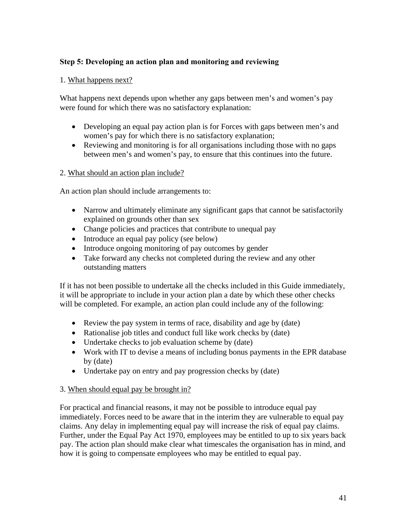# **Step 5: Developing an action plan and monitoring and reviewing**

### 1. What happens next?

What happens next depends upon whether any gaps between men's and women's pay were found for which there was no satisfactory explanation:

- Developing an equal pay action plan is for Forces with gaps between men's and women's pay for which there is no satisfactory explanation;
- Reviewing and monitoring is for all organisations including those with no gaps between men's and women's pay, to ensure that this continues into the future.

### 2. What should an action plan include?

An action plan should include arrangements to:

- Narrow and ultimately eliminate any significant gaps that cannot be satisfactorily explained on grounds other than sex
- Change policies and practices that contribute to unequal pay
- Introduce an equal pay policy (see below)
- Introduce ongoing monitoring of pay outcomes by gender
- Take forward any checks not completed during the review and any other outstanding matters

If it has not been possible to undertake all the checks included in this Guide immediately, it will be appropriate to include in your action plan a date by which these other checks will be completed. For example, an action plan could include any of the following:

- Review the pay system in terms of race, disability and age by (date)
- Rationalise job titles and conduct full like work checks by (date)
- Undertake checks to job evaluation scheme by (date)
- Work with IT to devise a means of including bonus payments in the EPR database by (date)
- Undertake pay on entry and pay progression checks by (date)

# 3. When should equal pay be brought in?

For practical and financial reasons, it may not be possible to introduce equal pay immediately. Forces need to be aware that in the interim they are vulnerable to equal pay claims. Any delay in implementing equal pay will increase the risk of equal pay claims. Further, under the Equal Pay Act 1970, employees may be entitled to up to six years back pay. The action plan should make clear what timescales the organisation has in mind, and how it is going to compensate employees who may be entitled to equal pay.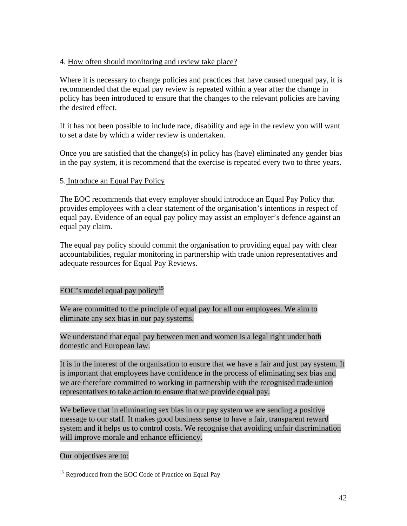## 4. How often should monitoring and review take place?

Where it is necessary to change policies and practices that have caused unequal pay, it is recommended that the equal pay review is repeated within a year after the change in policy has been introduced to ensure that the changes to the relevant policies are having the desired effect.

If it has not been possible to include race, disability and age in the review you will want to set a date by which a wider review is undertaken.

Once you are satisfied that the change(s) in policy has (have) eliminated any gender bias in the pay system, it is recommend that the exercise is repeated every two to three years.

# 5. Introduce an Equal Pay Policy

The EOC recommends that every employer should introduce an Equal Pay Policy that provides employees with a clear statement of the organisation's intentions in respect of equal pay. Evidence of an equal pay policy may assist an employer's defence against an equal pay claim.

The equal pay policy should commit the organisation to providing equal pay with clear accountabilities, regular monitoring in partnership with trade union representatives and adequate resources for Equal Pay Reviews.

# EOC's model equal pay policy<sup>[15](#page-41-0)</sup>

We are committed to the principle of equal pay for all our employees. We aim to eliminate any sex bias in our pay systems.

We understand that equal pay between men and women is a legal right under both domestic and European law.

It is in the interest of the organisation to ensure that we have a fair and just pay system. It is important that employees have confidence in the process of eliminating sex bias and we are therefore committed to working in partnership with the recognised trade union representatives to take action to ensure that we provide equal pay.

We believe that in eliminating sex bias in our pay system we are sending a positive message to our staff. It makes good business sense to have a fair, transparent reward system and it helps us to control costs. We recognise that avoiding unfair discrimination will improve morale and enhance efficiency.

#### Our objectives are to:

<span id="page-41-0"></span> $\overline{a}$ <sup>15</sup> Reproduced from the EOC Code of Practice on Equal Pay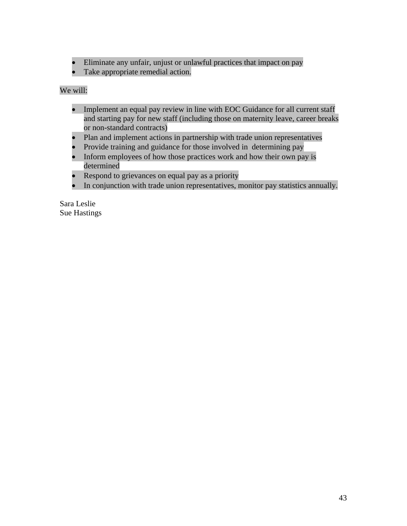- Eliminate any unfair, unjust or unlawful practices that impact on pay
- Take appropriate remedial action.

# We will:

- Implement an equal pay review in line with EOC Guidance for all current staff and starting pay for new staff (including those on maternity leave, career breaks or non-standard contracts)
- Plan and implement actions in partnership with trade union representatives
- Provide training and guidance for those involved in determining pay
- Inform employees of how those practices work and how their own pay is determined
- Respond to grievances on equal pay as a priority
- In conjunction with trade union representatives, monitor pay statistics annually.

Sara Leslie Sue Hastings